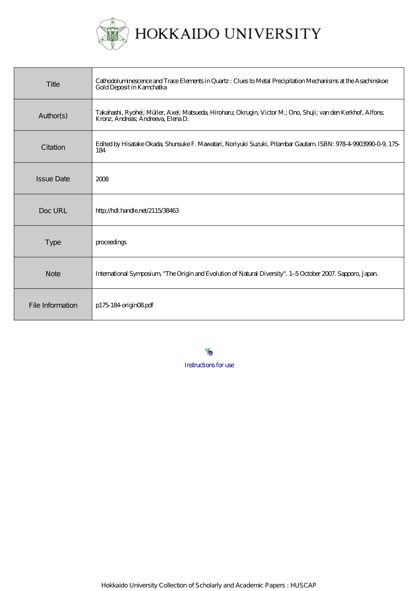

HOKKAIDO UNIVERSITY

| Title             | Cathodoluminescence and Trace Elements in Quartz : Clues to Metal Precipitation Mechanisms at the Asachinskoe<br>Gold Deposit in Kamchatka          |
|-------------------|-----------------------------------------------------------------------------------------------------------------------------------------------------|
| Author(s)         | Takahashi, Ryohei; Müller, Axel; Matsueda, Hiroharu; Okrugin, Victor M.; Ono, Shuji; van den Kerkhof, Alfons;<br>Kronz, Andreas; Andreeva, Elena D. |
| Citation          | Edited by Hisatake Okada, Shunsuke F. Mawatari, Noriyuki Suzuki, Pitambar Gautam ISBN: 978-4-9003990-0-9, 175-<br>184                               |
| <b>Issue Date</b> | 2008                                                                                                                                                |
| Doc URL           | http://hdl.handle.net/2115/38463                                                                                                                    |
| <b>Type</b>       | proceedings                                                                                                                                         |
| <b>Note</b>       | International Symposium, "The Origin and Evolution of Natural Diversity". 1-5 October 2007. Sapporo, Japan.                                         |
| File Information  | $p175184$ origin $08$ pdf                                                                                                                           |

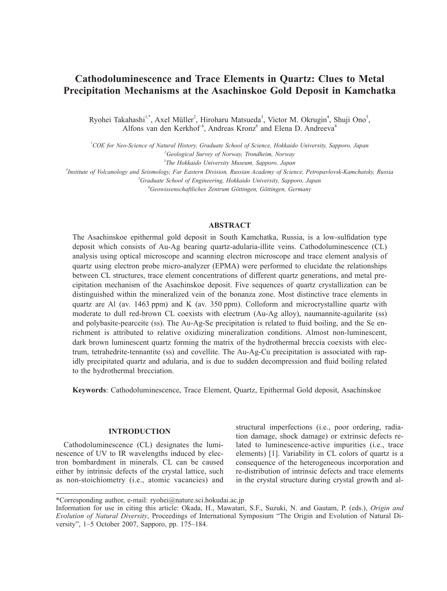# **Cathodoluminescence and Trace Elements in Quartz: Clues to Metal Precipitation Mechanisms at the Asachinskoe Gold Deposit in Kamchatka**

Ryohei Takahashi<sup>1,\*</sup>, Axel Müller<sup>2</sup>, Hiroharu Matsueda<sup>3</sup>, Victor M. Okrugin<sup>4</sup>, Shuji Ono<sup>5</sup>, Alfons van den Kerkhof<sup>6</sup>, Andreas Kronz<sup>6</sup> and Elena D. Andreeva<sup>4</sup>

*1 COE for Neo-Science of Natural History, Graduate School of Science, Hokkaido University, Sapporo, Japan 2 Geological Survey of Norway, Trondheim, Norway*

*3 The Hokkaido University Museum, Sapporo, Japan*

*4 Institute of Volcanology and Seismology, Far Eastern Division, Russian Academy of Science, Petropavlovsk-Kamchatsky, Russia 5 Graduate School of Engineering, Hokkaido University, Sapporo, Japan*

*6 Geowissenschaftliches Zentrum Göttingen, Göttingen, Germany*

# **ABSTRACT**

The Asachinskoe epithermal gold deposit in South Kamchatka, Russia, is a low-sulfidation type deposit which consists of Au-Ag bearing quartz-adularia-illite veins. Cathodoluminescence (CL) analysis using optical microscope and scanning electron microscope and trace element analysis of quartz using electron probe micro-analyzer (EPMA) were performed to elucidate the relationships between CL structures, trace element concentrations of different quartz generations, and metal precipitation mechanism of the Asachinskoe deposit. Five sequences of quartz crystallization can be distinguished within the mineralized vein of the bonanza zone. Most distinctive trace elements in quartz are Al (av. 1463 ppm) and K (av. 350 ppm). Colloform and microcrystalline quartz with moderate to dull red-brown CL coexists with electrum (Au-Ag alloy), naumannite-aguilarite (ss) and polybasite-pearceite (ss). The Au-Ag-Se precipitation is related to fluid boiling, and the Se enrichment is attributed to relative oxidizing mineralization conditions. Almost non-luminescent, dark brown luminescent quartz forming the matrix of the hydrothermal breccia coexists with electrum, tetrahedrite-tennantite (ss) and covellite. The Au-Ag-Cu precipitation is associated with rapidly precipitated quartz and adularia, and is due to sudden decompression and fluid boiling related to the hydrothermal brecciation.

**Keywords**: Cathodoluminescence, Trace Element, Quartz, Epithermal Gold deposit, Asachinskoe

## **INTRODUCTION**

Cathodoluminescence (CL) designates the luminescence of UV to IR wavelengths induced by electron bombardment in minerals. CL can be caused either by intrinsic defects of the crystal lattice, such as non-stoichiometry (i.e., atomic vacancies) and

structural imperfections (i.e., poor ordering, radiation damage, shock damage) or extrinsic defects related to luminescence-active impurities (i.e., trace elements) [1]. Variability in CL colors of quartz is a consequence of the heterogeneous incorporation and re-distribution of intrinsic defects and trace elements in the crystal structure during crystal growth and al-

<sup>\*</sup>Corresponding author, e-mail: ryohei@nature.sci.hokudai.ac.jp

Information for use in citing this article: Okada, H., Mawatari, S.F., Suzuki, N. and Gautam, P. (eds.), *Origin and Evolution of Natural Diversity*, Proceedings of International Symposium "The Origin and Evolution of Natural Diversity", 1–5 October 2007, Sapporo, pp. 175–184.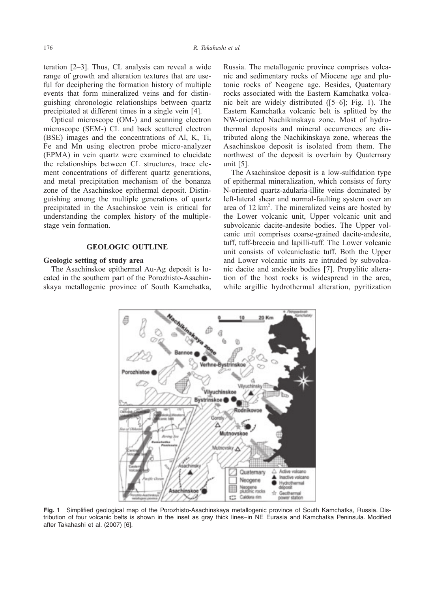teration [2–3]. Thus, CL analysis can reveal a wide range of growth and alteration textures that are useful for deciphering the formation history of multiple events that form mineralized veins and for distinguishing chronologic relationships between quartz precipitated at different times in a single vein [4].

Optical microscope (OM-) and scanning electron microscope (SEM-) CL and back scattered electron (BSE) images and the concentrations of Al, K, Ti, Fe and Mn using electron probe micro-analyzer (EPMA) in vein quartz were examined to elucidate the relationships between CL structures, trace element concentrations of different quartz generations, and metal precipitation mechanism of the bonanza zone of the Asachinskoe epithermal deposit. Distinguishing among the multiple generations of quartz precipitated in the Asachinskoe vein is critical for understanding the complex history of the multiplestage vein formation.

# **GEOLOGIC OUTLINE**

#### **Geologic setting of study area**

The Asachinskoe epithermal Au-Ag deposit is located in the southern part of the Porozhisto-Asachinskaya metallogenic province of South Kamchatka, Russia. The metallogenic province comprises volcanic and sedimentary rocks of Miocene age and plutonic rocks of Neogene age. Besides, Quaternary rocks associated with the Eastern Kamchatka volcanic belt are widely distributed ([5–6]; Fig. 1). The Eastern Kamchatka volcanic belt is splitted by the NW-oriented Nachikinskaya zone. Most of hydrothermal deposits and mineral occurrences are distributed along the Nachikinskaya zone, whereas the Asachinskoe deposit is isolated from them. The northwest of the deposit is overlain by Quaternary unit [5].

The Asachinskoe deposit is a low-sulfidation type of epithermal mineralization, which consists of forty N-oriented quartz-adularia-illite veins dominated by left-lateral shear and normal-faulting system over an area of  $12 \text{ km}^2$ . The mineralized veins are hosted by the Lower volcanic unit, Upper volcanic unit and subvolcanic dacite-andesite bodies. The Upper volcanic unit comprises coarse-grained dacite-andesite, tuff, tuff-breccia and lapilli-tuff. The Lower volcanic unit consists of volcaniclastic tuff. Both the Upper and Lower volcanic units are intruded by subvolcanic dacite and andesite bodies [7]. Propylitic alteration of the host rocks is widespread in the area, while argillic hydrothermal alteration, pyritization



**Fig. 1** Simplified geological map of the Porozhisto-Asachinskaya metallogenic province of South Kamchatka, Russia. Distribution of four volcanic belts is shown in the inset as gray thick lines−in NE Eurasia and Kamchatka Peninsula. Modified after Takahashi et al. (2007) [6].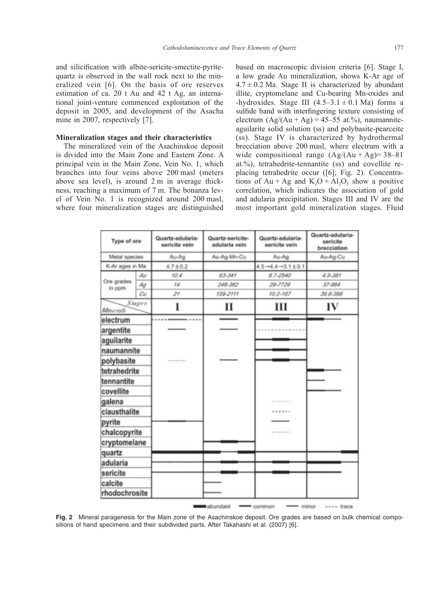and silicification with albite-sericite-smectite-pyritequartz is observed in the wall rock next to the mineralized vein [6]. On the basis of ore reserves estimation of ca. 20 t Au and 42 t Ag, an international joint-venture commenced exploitation of the deposit in 2005, and development of the Asacha mine in 2007, respectively [7].

## **Mineralization stages and their characteristics**

The mineralized vein of the Asachinskoe deposit is divided into the Main Zone and Eastern Zone. A principal vein in the Main Zone, Vein No. 1, which branches into four veins above 200 masl (meters above sea level), is around 2 m in average thickness, reaching a maximum of 7 m. The bonanza level of Vein No. 1 is recognized around 200 masl, where four mineralization stages are distinguished

based on macroscopic division criteria [6]. Stage I, a low grade Au mineralization, shows K-Ar age of  $4.7 \pm 0.2$  Ma. Stage II is characterized by abundant illite, cryptomelane and Cu-bearing Mn-oxides and -hydroxides. Stage III  $(4.5-3.1 \pm 0.1 \text{ Ma})$  forms a sulfide band with interfingering texture consisting of electrum  $(Ag/(Au + Ag) = 45-55$  at.%), naumanniteaguilarite solid solution (ss) and polybasite-pearceite (ss). Stage IV is characterized by hydrothermal brecciation above 200 masl, where electrum with a wide compositional range  $(Ag/(Au + Ag) = 38-81$ at.%), tetrahedrite-tennantite (ss) and covellite replacing tetrahedrite occur ([6]; Fig. 2). Concentrations of Au + Ag and  $K_2O + Al_2O_3$  show a positive correlation, which indicates the association of gold and adularia precipitation. Stages III and IV are the most important gold mineralization stages. Fluid

| Type of ore<br>Metal species<br>K-Ar ages in Ma |    | Quartz-adularia-<br>sericite vein | Quartz-sericite-<br>adularia vein | Quartz-adularia-<br>sericite vein | Quartz-adularia-<br>sericite<br>brecciation<br>Au-Ag-Cu |
|-------------------------------------------------|----|-----------------------------------|-----------------------------------|-----------------------------------|---------------------------------------------------------|
|                                                 |    | Au-Ag                             | Au-Ag-Mn-Cu                       | Au-Ag                             |                                                         |
|                                                 |    | $4.7 \pm 0.2$                     |                                   | $4.5 - 4.4 - 3.1 \pm 0.1$         |                                                         |
|                                                 | Au | 10.4                              | 63-341                            | 8.7-2540                          | $4.9 - 381$                                             |
| Ore grades<br>in ppm                            | Ag | 14                                | 246-362                           | 29-7729                           | 37-864                                                  |
|                                                 | Cu | 21                                | 159-2111                          | 10.2-167                          | 39.8-398                                                |
| Stages<br><b>Minerals</b>                       |    | I                                 | п                                 | ш                                 | IV                                                      |
| electrum                                        |    |                                   |                                   |                                   |                                                         |
| argentite                                       |    |                                   |                                   |                                   |                                                         |
| aguilarite                                      |    |                                   |                                   |                                   |                                                         |
| naumannite                                      |    |                                   |                                   |                                   |                                                         |
| polybasite                                      |    |                                   |                                   |                                   |                                                         |
| tetrahedrite                                    |    |                                   |                                   |                                   |                                                         |
| tennantite                                      |    |                                   |                                   |                                   |                                                         |
| covellite                                       |    |                                   |                                   |                                   |                                                         |
| galena                                          |    |                                   |                                   | .                                 |                                                         |
| clausthalite                                    |    |                                   |                                   |                                   |                                                         |
| pyrite                                          |    |                                   |                                   |                                   |                                                         |
| chalcopyrite                                    |    |                                   |                                   | ------                            |                                                         |
| cryptomelane                                    |    |                                   |                                   |                                   |                                                         |
| quartz                                          |    |                                   |                                   |                                   |                                                         |
| adularia                                        |    |                                   |                                   |                                   |                                                         |
| sericite                                        |    |                                   |                                   |                                   |                                                         |
| calcite                                         |    |                                   |                                   |                                   |                                                         |
| rhodochrosite                                   |    |                                   |                                   |                                   |                                                         |

**Fig. 2** Mineral paragenesis for the Main zone of the Asachinskoe deposit. Ore grades are based on bulk chemical compositions of hand specimens and their subdivided parts. After Takahashi et al. (2007) [6].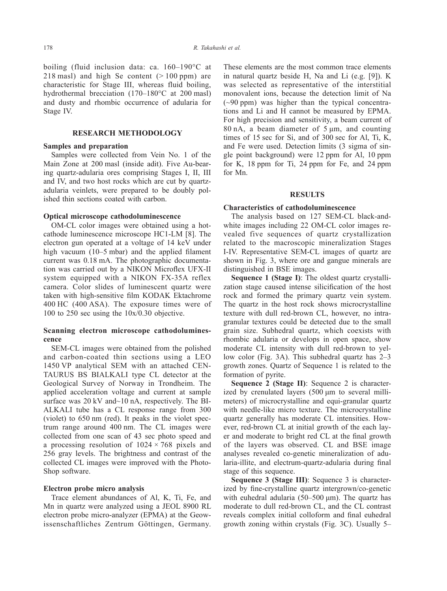boiling (fluid inclusion data: ca. 160–190°C at 218 masl) and high Se content  $(>100 \text{ ppm})$  are characteristic for Stage III, whereas fluid boiling, hydrothermal brecciation (170–180°C at 200 masl) and dusty and rhombic occurrence of adularia for Stage IV.

## **RESEARCH METHODOLOGY**

#### **Samples and preparation**

Samples were collected from Vein No. 1 of the Main Zone at 200 masl (inside adit). Five Au-bearing quartz-adularia ores comprising Stages I, II, III and IV, and two host rocks which are cut by quartzadularia veinlets, were prepared to be doubly polished thin sections coated with carbon.

#### **Optical microscope cathodoluminescence**

OM-CL color images were obtained using a hotcathode luminescence microscope HC1-LM [8]. The electron gun operated at a voltage of 14 keV under high vacuum (10–5 mbar) and the applied filament current was 0.18 mA. The photographic documentation was carried out by a NIKON Microflex UFX-II system equipped with a NIKON FX-35A reflex camera. Color slides of luminescent quartz were taken with high-sensitive film KODAK Ektachrome 400 HC (400 ASA). The exposure times were of 100 to 250 sec using the 10x/0.30 objective.

# **Scanning electron microscope cathodoluminescence**

SEM-CL images were obtained from the polished and carbon-coated thin sections using a LEO 1450 VP analytical SEM with an attached CEN-TAURUS BS BIALKALI type CL detector at the Geological Survey of Norway in Trondheim. The applied acceleration voltage and current at sample surface was 20 kV and~10 nA, respectively. The BI-ALKALI tube has a CL response range from 300 (violet) to 650 nm (red). It peaks in the violet spectrum range around 400 nm. The CL images were collected from one scan of 43 sec photo speed and a processing resolution of  $1024 \times 768$  pixels and 256 gray levels. The brightness and contrast of the collected CL images were improved with the Photo-Shop software.

#### **Electron probe micro analysis**

Trace element abundances of Al, K, Ti, Fe, and Mn in quartz were analyzed using a JEOL 8900 RL electron probe micro-analyzer (EPMA) at the Geowissenschaftliches Zentrum Göttingen, Germany. These elements are the most common trace elements in natural quartz beside H, Na and Li (e.g. [9]). K was selected as representative of the interstitial monovalent ions, because the detection limit of Na (~90 ppm) was higher than the typical concentrations and Li and H cannot be measured by EPMA. For high precision and sensitivity, a beam current of 80 nA, a beam diameter of  $5 \mu m$ , and counting times of 15 sec for Si, and of 300 sec for Al, Ti, K, and Fe were used. Detection limits (3 sigma of single point background) were 12 ppm for Al, 10 ppm for K, 18 ppm for Ti, 24 ppm for Fe, and 24 ppm for Mn.

## **RESULTS**

## **Characteristics of cathodoluminescence**

The analysis based on 127 SEM-CL black-andwhite images including 22 OM-CL color images revealed five sequences of quartz crystallization related to the macroscopic mineralization Stages I-IV. Representative SEM-CL images of quartz are shown in Fig. 3, where ore and gangue minerals are distinguished in BSE images.

**Sequence 1 (Stage I)**: The oldest quartz crystallization stage caused intense silicification of the host rock and formed the primary quartz vein system. The quartz in the host rock shows microcrystalline texture with dull red-brown CL, however, no intragranular textures could be detected due to the small grain size. Subhedral quartz, which coexists with rhombic adularia or develops in open space, show moderate CL intensity with dull red-brown to yellow color (Fig. 3A). This subhedral quartz has 2–3 growth zones. Quartz of Sequence 1 is related to the formation of pyrite.

**Sequence 2 (Stage II)**: Sequence 2 is characterized by crenulated layers (500 μm to several millimeters) of microcrystalline and equi-granular quartz with needle-like micro texture. The microcrystalline quartz generally has moderate CL intensities. However, red-brown CL at initial growth of the each layer and moderate to bright red CL at the final growth of the layers was observed. CL and BSE image analyses revealed co-genetic mineralization of adularia-illite, and electrum-quartz-adularia during final stage of this sequence.

**Sequence 3 (Stage III)**: Sequence 3 is characterized by fine-crystalline quartz intergrown/co-genetic with euhedral adularia ( $50-500 \mu m$ ). The quartz has moderate to dull red-brown CL, and the CL contrast reveals complex initial colloform and final euhedral growth zoning within crystals (Fig. 3C). Usually 5–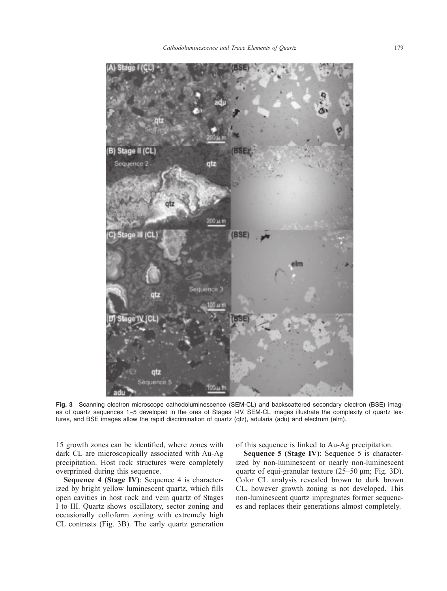

**Fig. 3** Scanning electron microscope cathodoluminescence (SEM-CL) and backscattered secondary electron (BSE) images of quartz sequences 1−5 developed in the ores of Stages I-IV. SEM-CL images illustrate the complexity of quartz textures, and BSE images allow the rapid discrimination of quartz (qtz), adularia (adu) and electrum (elm).

15 growth zones can be identified, where zones with dark CL are microscopically associated with Au-Ag precipitation. Host rock structures were completely overprinted during this sequence.

**Sequence 4 (Stage IV)**: Sequence 4 is characterized by bright yellow luminescent quartz, which fills open cavities in host rock and vein quartz of Stages I to III. Quartz shows oscillatory, sector zoning and occasionally colloform zoning with extremely high CL contrasts (Fig. 3B). The early quartz generation of this sequence is linked to Au-Ag precipitation.

**Sequence 5 (Stage IV): Sequence 5 is character**ized by non-luminescent or nearly non-luminescent quartz of equi-granular texture (25–50 μm; Fig. 3D). Color CL analysis revealed brown to dark brown CL, however growth zoning is not developed. This non-luminescent quartz impregnates former sequences and replaces their generations almost completely.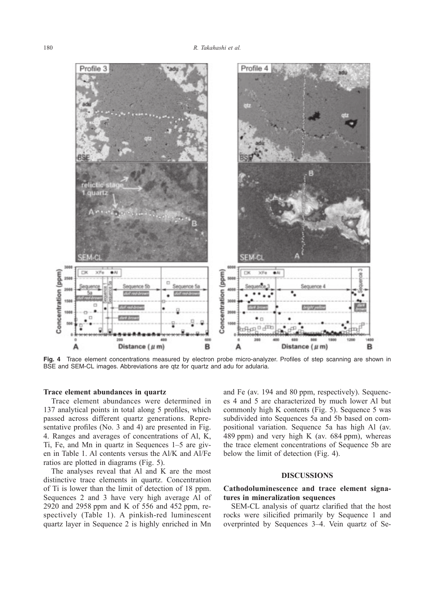

**Fig. 4** Trace element concentrations measured by electron probe micro-analyzer. Profiles of step scanning are shown in BSE and SEM-CL images. Abbreviations are qtz for quartz and adu for adularia.

## **Trace element abundances in quartz**

Trace element abundances were determined in 137 analytical points in total along 5 profiles, which passed across different quartz generations. Representative profiles (No. 3 and 4) are presented in Fig. 4. Ranges and averages of concentrations of Al, K, Ti, Fe, and Mn in quartz in Sequences 1–5 are given in Table 1. Al contents versus the Al/K and Al/Fe ratios are plotted in diagrams (Fig. 5).

The analyses reveal that Al and K are the most distinctive trace elements in quartz. Concentration of Ti is lower than the limit of detection of 18 ppm. Sequences 2 and 3 have very high average Al of 2920 and 2958 ppm and K of 556 and 452 ppm, respectively (Table 1). A pinkish-red luminescent quartz layer in Sequence 2 is highly enriched in Mn

and Fe (av. 194 and 80 ppm, respectively). Sequences 4 and 5 are characterized by much lower Al but commonly high K contents (Fig. 5). Sequence 5 was subdivided into Sequences 5a and 5b based on compositional variation. Sequence 5a has high Al (av. 489 ppm) and very high K (av. 684 ppm), whereas the trace element concentrations of Sequence 5b are below the limit of detection (Fig. 4).

## **DISCUSSIONS**

## **Cathodoluminescence and trace element signatures in mineralization sequences**

SEM-CL analysis of quartz clarified that the host rocks were silicified primarily by Sequence 1 and overprinted by Sequences 3–4. Vein quartz of Se-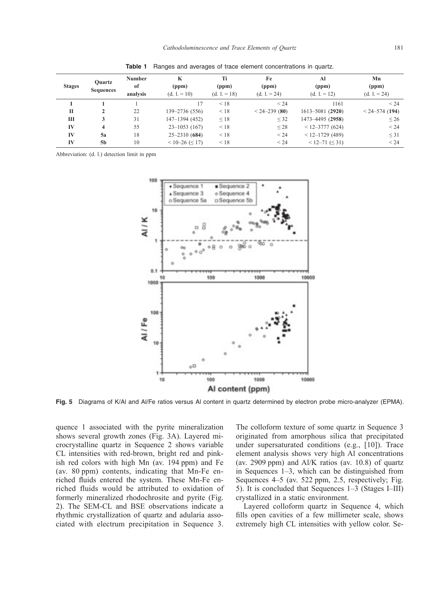| <b>Stages</b> | <b>Ouartz</b><br><b>Sequences</b> | <b>Number</b><br>of<br>analysis | K<br>(ppm)<br>$(d. 1 = 10)$ | Ti<br>(ppm)<br>$(d. 1 = 18)$ | Fe<br>(ppm)<br>$(d. 1 = 24)$ | Al<br>(ppm)<br>$(d. 1 = 12)$ | Mn<br>(ppm)<br>$(d. 1 = 24)$ |
|---------------|-----------------------------------|---------------------------------|-----------------------------|------------------------------|------------------------------|------------------------------|------------------------------|
|               |                                   |                                 |                             | $\leq 18$                    | < 24                         | 1161                         | < 24                         |
| П             | 2                                 | 22                              | 139-2736 (556)              | < 18                         | $< 24 - 239(80)$             | $1613 - 5081$ (2920)         | $< 24 - 574$ (194)           |
| Ш             | 3                                 | 31                              | 147-1394 (452)              | $\leq$ 18                    | $\leq$ 32                    | 1473-4495 (2958)             | $\leq 26$                    |
| IV            | 4                                 | 55                              | $23 - 1053(167)$            | < 18                         | $\leq$ 28                    | $< 12 - 3777$ (624)          | $\leq$ 24                    |
| IV            | 5a                                | 18                              | $25 - 2310(684)$            | $\leq 18$                    | < 24                         | $< 12 - 1729$ (489)          | $\leq$ 31                    |
| IV            | 5 <sub>b</sub>                    | 10                              | $< 10 - 26 \leq 17$         | < 18                         | < 24                         | $< 12 - 71 \leq 31$          | < 24                         |

**Table 1** Ranges and averages of trace element concentrations in quartz.

Abbreviation: (d. l.) detection limit in ppm



**Fig. 5** Diagrams of K/Al and Al/Fe ratios versus Al content in quartz determined by electron probe micro-analyzer (EPMA).

quence 1 associated with the pyrite mineralization shows several growth zones (Fig. 3A). Layered microcrystalline quartz in Sequence 2 shows variable CL intensities with red-brown, bright red and pinkish red colors with high Mn (av. 194 ppm) and Fe (av. 80 ppm) contents, indicating that Mn-Fe enriched fluids entered the system. These Mn-Fe enriched fluids would be attributed to oxidation of formerly mineralized rhodochrosite and pyrite (Fig. 2). The SEM-CL and BSE observations indicate a rhythmic crystallization of quartz and adularia associated with electrum precipitation in Sequence 3.

The colloform texture of some quartz in Sequence 3 originated from amorphous silica that precipitated under supersaturated conditions (e.g., [10]). Trace element analysis shows very high Al concentrations (av. 2909 ppm) and Al/K ratios (av. 10.8) of quartz in Sequences 1–3, which can be distinguished from Sequences 4–5 (av. 522 ppm, 2.5, respectively; Fig. 5). It is concluded that Sequences 1–3 (Stages I–III) crystallized in a static environment.

Layered colloform quartz in Sequence 4, which fills open cavities of a few millimeter scale, shows extremely high CL intensities with yellow color. Se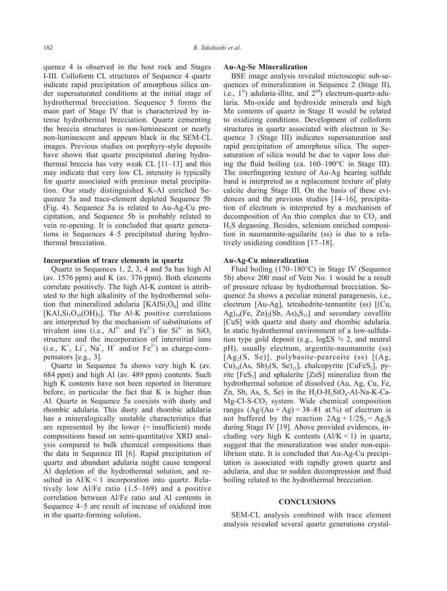quence 4 is observed in the host rock and Stages I-III. Colloform CL structures of Sequence 4 quartz indicate rapid precipitation of amorphous silica under supersaturated conditions at the initial stage of hydrothermal brecciation. Sequence 5 forms the main part of Stage IV that is characterized by intense hydrothermal brecciation. Quartz cementing the breccia structures is non-luminescent or nearly non-luminescent and appears black in the SEM-CL images. Previous studies on porphyry-style deposits have shown that quartz precipitated during hydrothermal breccia has very weak CL [11–13] and this may indicate that very low CL intensity is typically for quartz associated with precious metal precipitation. Our study distinguished K-Al enriched Sequence 5a and trace-element depleted Sequence 5b (Fig. 4). Sequence 5a is related to Au-Ag-Cu precipitation, and Sequence 5b is probably related to vein re-opening. It is concluded that quartz generations in Sequences 4–5 precipitated during hydrothermal brecciation.

#### **Incorporation of trace elements in quartz**

Quartz in Sequences 1, 2, 3, 4 and 5a has high Al (av. 1576 ppm) and K (av. 376 ppm). Both elements correlate positively. The high Al-K content is attributed to the high alkalinity of the hydrothermal solution that mineralized adularia  $[KAISi<sub>3</sub>O<sub>8</sub>]$  and illite  $[KAI_3Si_3O_{10}(OH)_2]$ . The Al-K positive correlations are interpreted by the mechanism of substitutions of trivalent ions (i.e.,  $Al^{3+}$  and  $Fe^{3+}$ ) for  $Si^{4+}$  in  $SiO_2$ structure and the incorporation of interstitial ions  $(i.e., K<sup>+</sup>, Li<sup>+</sup>, Na<sup>+</sup>, H<sup>+</sup> and/or Fe<sup>2+</sup>)$  as charge-compensators [e.g., 3].

Quartz in Sequence 5a shows very high K (av. 684 ppm) and high Al (av. 489 ppm) contents. Such high K contents have not been reported in literature before, in particular the fact that K is higher than Al. Quartz in Sequence 5a coexists with dusty and rhombic adularia. This dusty and rhombic adularia has a mineralogically unstable characteristics that are represented by the lower  $(=$  insufficient) mode compositions based on semi-quantitative XRD analysis compared to bulk chemical compositions than the data in Sequence III [6]. Rapid precipitation of quartz and abundant adularia might cause temporal Al depletion of the hydrothermal solution, and resulted in  $A/K < 1$  incorporation into quartz. Relatively low Al/Fe ratio (1.5–169) and a positive correlation between Al/Fe ratio and Al contents in Sequence 4–5 are result of increase of oxidized iron in the quartz-forming solution.

#### **Au-Ag-Se Mineralization**

BSE image analysis revealed microscopic sub-sequences of mineralization in Sequence 2 (Stage II), i.e.,  $1^{st}$ ) adularia-illite, and  $2^{nd}$ ) electrum-quartz-adularia. Mn-oxide and hydroxide minerals and high Mn contents of quartz in Stage II would be related to oxidizing conditions. Development of colloform structures in quartz associated with electrum in Sequence 3 (Stage III) indicates supersaturation and rapid precipitation of amorphous silica. The supersaturation of silica would be due to vapor loss during the fluid boiling (ca. 160–190°C in Stage III). The interfingering texture of Au-Ag bearing sulfide band is interpreted as a replacement texture of platy calcite during Stage III. On the basis of these evidences and the previous studies [14–16], precipitation of electrum is interpreted by a mechanism of decomposition of Au thio complex due to CO<sub>2</sub> and H2S degassing. Besides, selenium enriched composition in naumannite-aguilarite (ss) is due to a relatively oxidizing condition [17–18].

#### **Au-Ag-Cu mineralization**

Fluid boiling (170–180°C) in Stage IV (Sequence 5b) above 200 masl of Vein No. 1 would be a result of pressure release by hydrothermal brecciation. Sequence 5a shows a peculiar mineral paragenesis, i.e., electrum [Au-Ag], tetrahedrite-tennantite (ss) [(Cu,  $\text{Ag}_{10}(\text{Fe}, \text{Zn})_{2}(\text{Sb}, \text{As})_{4}\text{S}_{13}$  and secondary covellite [CuS] with quartz and dusty and rhombic adularia. In static hydrothermal environment of a low-sulfidation type gold deposit (e.g.,  $log\{\Sigma S} = 2$ , and neutral pH), usually electrum, argentite-naumannite (ss)  $[Ag_2(S, Se)]$ , polybasite-pearceite (ss)  $[(Ag,$  $Cu)_{16}(As, Sb)_{2}(S, Se)_{11}$ , chalcopyrite [CuFeS<sub>2</sub>], pyrite  $[FeS<sub>2</sub>]$  and sphalerite  $[ZnS]$  mineralize from the hydrothermal solution of dissolved (Au, Ag, Cu, Fe, Zn, Sb, As, S, Se) in the  $H_2O-H_2SiO_4$ -Al-Na-K-Ca- $Mg-Cl-S-CO<sub>2</sub>$  system. Wide chemical composition ranges  $(Ag/(Au + Ag) = 38-81$  at.%) of electrum is not buffered by the reaction  $2Ag + 1/2S_2 = Ag_2S$ during Stage IV [19]. Above provided evidences, including very high K contents  $(A<sub>1</sub>/K < 1)$  in quartz, suggest that the mineralization was under non-equilibrium state. It is concluded that Au-Ag-Cu precipitation is associated with rapidly grown quartz and adularia, and due to sudden decompression and fluid boiling related to the hydrothermal brecciation.

## **CONCLUSIONS**

SEM-CL analysis combined with trace element analysis revealed several quartz generations crystal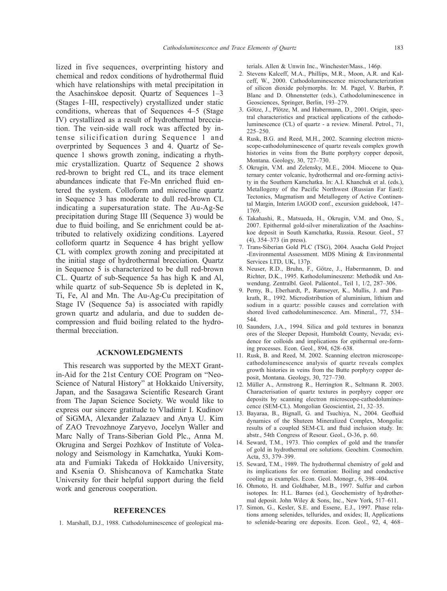lized in five sequences, overprinting history and chemical and redox conditions of hydrothermal fluid which have relationships with metal precipitation in the Asachinskoe deposit. Quartz of Sequences 1–3 (Stages I–III, respectively) crystallized under static conditions, whereas that of Sequences 4–5 (Stage IV) crystallized as a result of hydrothermal brecciation. The vein-side wall rock was affected by intense silicification during Sequence 1 and overprinted by Sequences 3 and 4. Quartz of Sequence 1 shows growth zoning, indicating a rhythmic crystallization. Quartz of Sequence 2 shows red-brown to bright red CL, and its trace element abundances indicate that Fe-Mn enriched fluid entered the system. Colloform and microcline quartz in Sequence 3 has moderate to dull red-brown CL indicating a supersaturation state. The Au-Ag-Se precipitation during Stage III (Sequence 3) would be due to fluid boiling, and Se enrichment could be attributed to relatively oxidizing conditions. Layered colloform quartz in Sequence 4 has bright yellow CL with complex growth zoning and precipitated at the initial stage of hydrothermal brecciation. Quartz in Sequence 5 is characterized to be dull red-brown CL. Quartz of sub-Sequence 5a has high K and Al, while quartz of sub-Sequence 5b is depleted in K, Ti, Fe, Al and Mn. The Au-Ag-Cu precipitation of Stage IV (Sequence 5a) is associated with rapidly grown quartz and adularia, and due to sudden decompression and fluid boiling related to the hydrothermal brecciation.

## **ACKNOWLEDGMENTS**

This research was supported by the MEXT Grantin-Aid for the 21st Century COE Program on "Neo-Science of Natural History" at Hokkaido University, Japan, and the Sasagawa Scientific Research Grant from The Japan Science Society. We would like to express our sincere gratitude to Vladimir I. Kudinov of SiGMA, Alexander Zalazaev and Anya U. Kim of ZAO Trevozhnoye Zaryevo, Jocelyn Waller and Marc Nally of Trans-Siberian Gold Plc., Anna M. Okrugina and Sergei Pozhkov of Institute of Volcanology and Seismology in Kamchatka, Yuuki Komata and Fumiaki Takeda of Hokkaido University, and Ksenia O. Shishcanova of Kamchatka State University for their helpful support during the field work and generous cooperation.

## **REFERENCES**

1. Marshall, D.J., 1988. Cathodoluminescence of geological ma-

terials. Allen & Unwin Inc., Winchester/Mass., 146p.

- 2. Stevens Kalceff, M.A., Phillips, M.R., Moon, A.R. and Kalceff, W., 2000. Cathodoluminescence microcharacterization of silicon dioxide polymorphs. In: M. Pagel, V. Barbin, P. Blanc and D. Ohnenstetter (eds.), Cathodoluminescence in Geosciences, Springer, Berlin, 193–279.
- 3. Götze, J., Plötze, M. and Habermann, D., 2001. Origin, spectral characteristics and practical applications of the cathodoluminescence (CL) of quartz - a review. Mineral. Petrol., 71, 225–250.
- 4. Rusk, B.G. and Reed, M.H., 2002. Scanning electron microscope-cathodoluminescence of quartz reveals complex growth histories in veins from the Butte porphyry copper deposit, Montana. Geology, 30, 727–730.
- 5. Okrugin, V.M. and Zelensky, M.E., 2004. Miocene to Quaternary center volcanic, hydrothermal and ore-forming activity in the Southern Kamchatka. In: A.I. Khanchuk et al. (eds.), Metallogeny of the Pacific Northwest (Russian Far East): Tectonics, Magmatism and Metallogeny of Active Continental Margin, Interim IAGOD conf., excursion guidebook, 147– 1769.
- 6. Takahashi, R., Matsueda, H., Okrugin, V.M. and Ono, S., 2007. Epithermal gold-silver mineralization of the Asachinskoe deposit in South Kamchatka, Russia. Resour. Geol., 57 (4), 354–373 (in press).
- 7. Trans-Siberian Gold PLC (TSG), 2004. Asacha Gold Project -Environmental Assessment. MDS Mining & Environmental Services LTD, UK, 137p.
- 8. Neuser, R.D., Bruhn, F., Götze, J., Habermannm, D. and Richter, D.K., 1995. Kathodolumineszenz: Methodik und Anwendung. Zentralbl. Geol. Paläontol., Teil 1, 1/2, 287–306.
- 9. Perny, B., Eberhardt, P., Ramseyer, K., Mullis, J. and Pankrath, R., 1992. Microdistribution of aluminium, lithium and sodium in a quartz: possible causes and correlation with shored lived cathodoluminescence. Am. Mineral., 77, 534– 544.
- 10. Saunders, J.A., 1994. Silica and gold textures in bonanza ores of the Sleeper Deposit, Humboldt County, Nevada; evidence for colloids and implications for epithermal ore-forming processes. Econ. Geol., 894, 628–638.
- 11. Rusk, B. and Reed, M. 2002. Scanning electron microscopecathodoluminescence analysis of quartz reveals complex growth histories in veins from the Butte porphyry copper deposit, Montana. Geology, 30, 727–730.
- 12. Müller A., Armstrong R., Herrington R., Seltmann R. 2003. Characterisation of quartz textures in porphyry copper ore deposits by scanning electron microscope-cathodoluminescence (SEM-CL). Mongolian Geoscientist, 21, 32–35.
- 13. Bayaraa, B., Bignall, G. and Tsuchiya, N., 2004. Geofluid dynamics of the Shuteen Mineralized Complex, Mongolia: results of a coupled SEM-CL and fluid inclusion study. In: abstr., 54th Congress of Resour. Geol., O-36, p. 60.
- 14. Seward, T.M., 1973. Thio complex of gold and the transfer of gold in hydrothermal ore solutions. Geochim. Cosmochim. Acta, 53, 379–399.
- 15. Seward, T.M., 1989. The hydrothermal chemistry of gold and its implications for ore formation: Boiling and conductive cooling as examples. Econ. Geol. Monogr., 6, 398–404.
- 16. Ohmoto, H. and Goldhaber, M.B., 1997. Sulfur and carbon isotopes. In: H.L. Barnes (ed.), Geochemistry of hydrothermal deposit. John Wiley & Sons, Inc., New York, 517–611.
- 17. Simon, G., Kesler, S.E. and Essene, E.J., 1997. Phase relations among selenides, tellurides, and oxides; II, Applications to selenide-bearing ore deposits. Econ. Geol., 92, 4, 468–